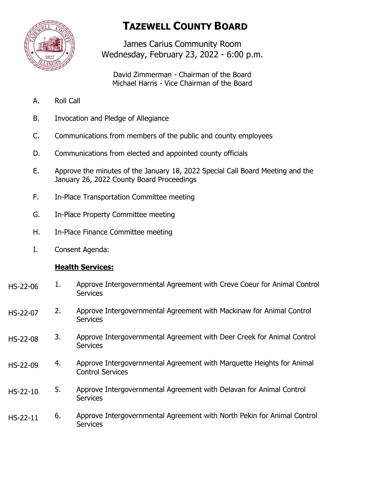

# **TAZEWELL COUNTY BOARD**

James Carius Community Room Wednesday, February 23, 2022 - 6:00 p.m.

David Zimmerman - Chairman of the Board Michael Harris - Vice Chairman of the Board

- A. Roll Call
- B. Invocation and Pledge of Allegiance
- C. Communications from members of the public and county employees
- D. Communications from elected and appointed county officials
- E. Approve the minutes of the January 18, 2022 Special Call Board Meeting and the January 26, 2022 County Board Proceedings
- F. In-Place Transportation Committee meeting
- G. In-Place Property Committee meeting
- H. In-Place Finance Committee meeting
- I. Consent Agenda:

## **Health Services:**

- 1. Approve Intergovernmental Agreement with Creve Coeur for Animal Control **Services** HS-22-06
- 2. Approve Intergovernmental Agreement with Mackinaw for Animal Control **Services** HS-22-07
- 3. Approve Intergovernmental Agreement with Deer Creek for Animal Control **Services** HS-22-08
- 4. Approve Intergovernmental Agreement with Marquette Heights for Animal Control Services HS-22-09
- 5. Approve Intergovernmental Agreement with Delavan for Animal Control **Services** HS-22-10
- 6. Approve Intergovernmental Agreement with North Pekin for Animal Control **Services** HS-22-11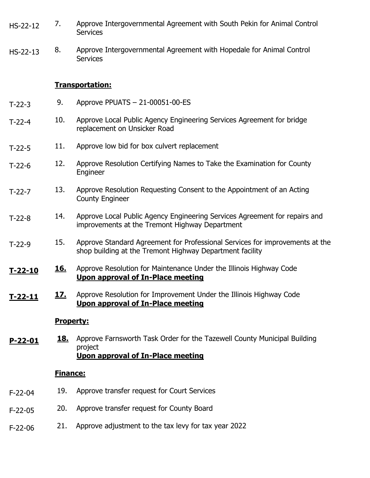- 7. Approve Intergovernmental Agreement with South Pekin for Animal Control **Services** HS-22-12
- 8. Approve Intergovernmental Agreement with Hopedale for Animal Control **Services** HS-22-13

#### **Transportation:**

- 9. Approve PPUATS 21-00051-00-ES T-22-3
- 10. Approve Local Public Agency Engineering Services Agreement for bridge replacement on Unsicker Road T-22-4
- 11. Approve low bid for box culvert replacement T-22-5
- 12. Approve Resolution Certifying Names to Take the Examination for County Engineer T-22-6
- 13. Approve Resolution Requesting Consent to the Appointment of an Acting County Engineer T-22-7
- 14. Approve Local Public Agency Engineering Services Agreement for repairs and improvements at the Tremont Highway Department T-22-8
- 15. Approve Standard Agreement for Professional Services for improvements at the shop building at the Tremont Highway Department facility T-22-9
- **16.** Approve Resolution for Maintenance Under the Illinois Highway Code **Upon approval of In-Place meeting T-22-10**
- **17.** Approve Resolution for Improvement Under the Illinois Highway Code **Upon approval of In-Place meeting T-22-11**

### **Property:**

**18.** Approve Farnsworth Task Order for the Tazewell County Municipal Building project **Upon approval of In-Place meeting P-22-01**

#### **Finance:**

- 19. Approve transfer request for Court Services F-22-04
- 20. Approve transfer request for County Board F-22-05
- 21. Approve adjustment to the tax levy for tax year 2022 F-22-06